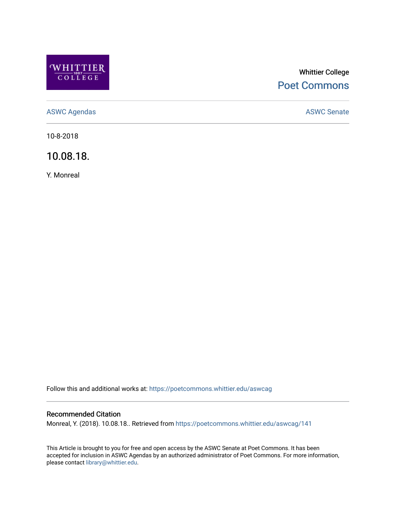

# Whittier College [Poet Commons](https://poetcommons.whittier.edu/)

[ASWC Agendas](https://poetcommons.whittier.edu/aswcag) **ASWC Senate** 

10-8-2018

10.08.18.

Y. Monreal

Follow this and additional works at: [https://poetcommons.whittier.edu/aswcag](https://poetcommons.whittier.edu/aswcag?utm_source=poetcommons.whittier.edu%2Faswcag%2F141&utm_medium=PDF&utm_campaign=PDFCoverPages) 

# Recommended Citation

Monreal, Y. (2018). 10.08.18.. Retrieved from [https://poetcommons.whittier.edu/aswcag/141](https://poetcommons.whittier.edu/aswcag/141?utm_source=poetcommons.whittier.edu%2Faswcag%2F141&utm_medium=PDF&utm_campaign=PDFCoverPages) 

This Article is brought to you for free and open access by the ASWC Senate at Poet Commons. It has been accepted for inclusion in ASWC Agendas by an authorized administrator of Poet Commons. For more information, please contact [library@whittier.edu](mailto:library@whittier.edu).